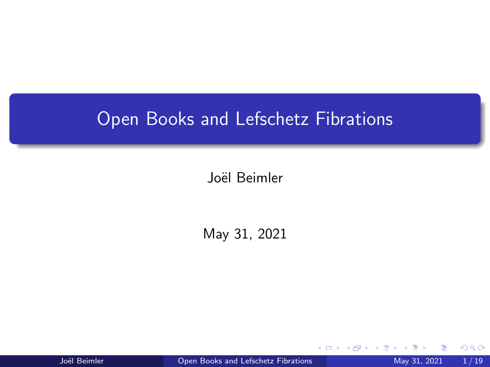## Open Books and Lefschetz Fibrations

Joël Beimler

May 31, 2021

Joël Beimler **Open Books and Lefschetz Fibrations** May 31, 2021 1/19

4 D F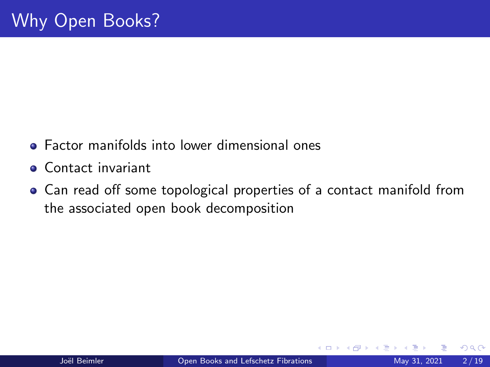- **•** Factor manifolds into lower dimensional ones
- **Contact invariant**
- Can read off some topological properties of a contact manifold from the associated open book decomposition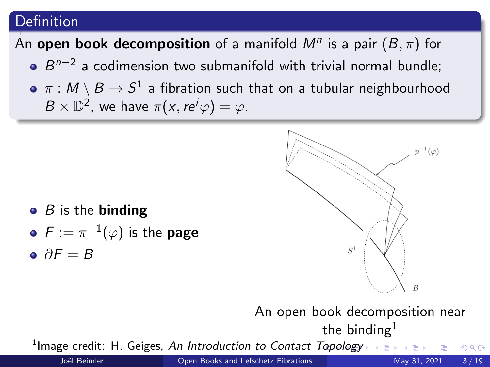## Definition

# An open book decomposition of a manifold  $M^n$  is a pair  $(B, \pi)$  for

- $B^{n-2}$  a codimension two submanifold with trivial normal bundle;
- $\pi : \mathcal{M} \setminus B \to \mathcal{S}^1$  a fibration such that on a tubular neighbourhood  $B\times \mathbb{D}^2$ , we have  $\pi(x,re^i\varphi)=\varphi$ .

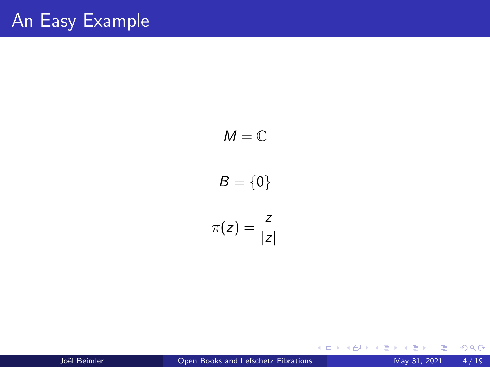$$
M = \mathbb{C}
$$
  

$$
B = \{0\}
$$
  

$$
\pi(z) = \frac{z}{|z|}
$$

 $299$ 

イロト イ部 トイモ トイモト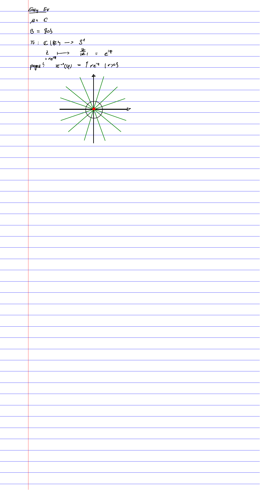Easy Ex  $\mu$   $c$  $B = 205$  $\frac{1}{10}$ :  $C(25 - 35)$  $rac{2}{z-e^{iq}}$ <br>  $rac{2}{z-e^{iq}}$ <br>  $rac{2}{z-e^{iq}}$ <br>  $rac{2}{z-e^{iq}}$ <br>  $rac{2}{z-e^{iq}}$ <br>  $rac{2}{z-e^{iq}}$ <br>  $rac{2}{z-e^{iq}}$ <br>  $rac{2}{z-e^{iq}}$ <br>  $rac{2}{z-e^{iq}}$ ⇁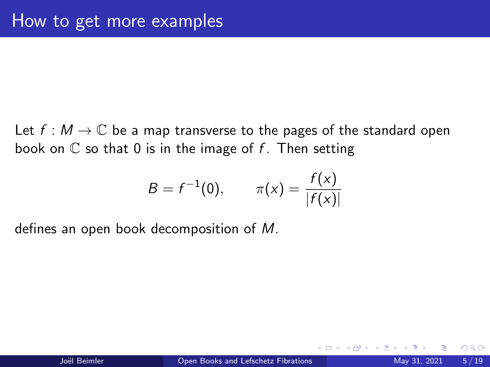Let  $f : M \to \mathbb{C}$  be a map transverse to the pages of the standard open book on  $\mathbb C$  so that 0 is in the image of f. Then setting

$$
B = f^{-1}(0), \qquad \pi(x) = \frac{f(x)}{|f(x)|}
$$

defines an open book decomposition of M.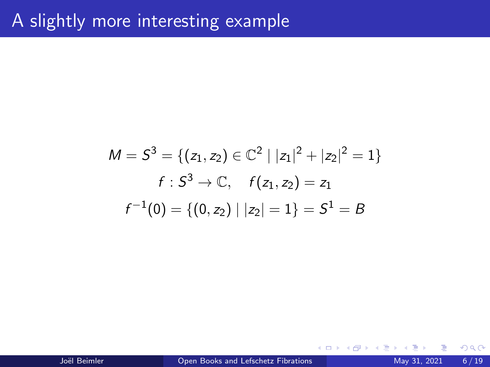$$
M = S3 = \{ (z1, z2) \in \mathbb{C}^2 \mid |z1|2 + |z2|2 = 1 \}
$$
  

$$
f : S3 \to \mathbb{C}, \quad f(z1, z2) = z1
$$
  

$$
f-1(0) = \{ (0, z2) \mid |z2| = 1 \} = S1 = B
$$

4 D F

∢母→  $\rightarrow$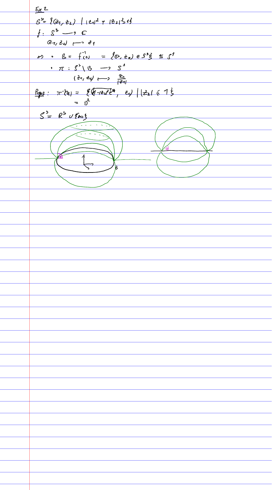$52$  $S^{\frac{b}{2}}$   $\left( \frac{g}{f} \frac{g}{f} \right)$   $\left| \frac{f}{f} \frac{g}{f} \right|^{2}$   $\left| \frac{g}{f} \frac{g}{f} \frac{g}{f} \right|^{2}$  $f: \mathcal{S}^3 \longrightarrow \mathbb{C}$  $(27, 24)$  -  $31$  $\Rightarrow$   $\beta = f'(0) = f(0, t_2) e 3^3 \xi \leq 1$ ,  $\pi : S^3 \setminus S \longrightarrow S^4$ <br>( $\frac{1}{6}a_1 \neq b_1 \longrightarrow \frac{2a_1}{1241}$  $log_2: \pi^2(e) = \frac{8(1-e^x)e^{i\phi}}{e}$ ,  $e\sqrt{|\zeta_2|} \leq 1$  $= 0^2$  $S = R^{5}$   $U$   $\{55\}$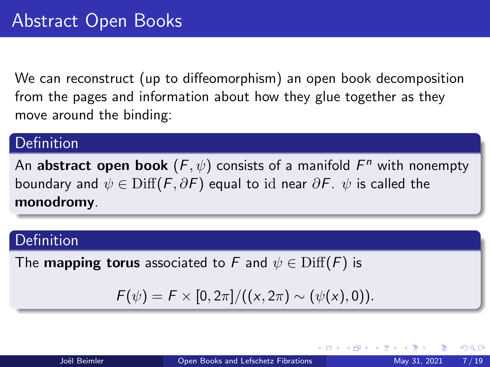We can reconstruct (up to diffeomorphism) an open book decomposition from the pages and information about how they glue together as they move around the binding:

#### **Definition**

An abstract open book  $(\bar{F}, \psi)$  consists of a manifold  $\bar{F}^n$  with nonempty boundary and  $\psi \in \text{Diff}(F, \partial F)$  equal to id near  $\partial F$ .  $\psi$  is called the monodromy.

## Definition

The **mapping torus** associated to F and  $\psi \in \text{Diff}(F)$  is

$$
F(\psi) = F \times [0, 2\pi] / ((x, 2\pi) \sim (\psi(x), 0)).
$$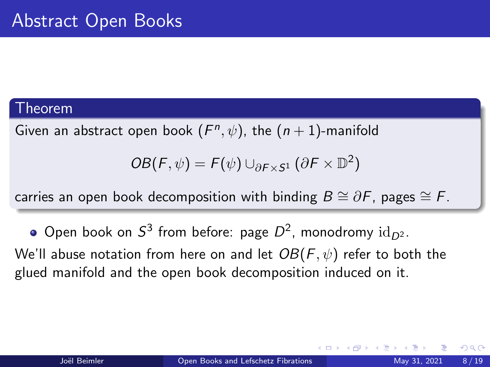#### Theorem

Given an abstract open book  $(F<sup>n</sup>, \psi)$ , the  $(n + 1)$ -manifold

$$
OB(F, \psi) = F(\psi) \cup_{\partial F \times S^1} (\partial F \times \mathbb{D}^2)
$$

carries an open book decomposition with binding  $B \cong \partial F$ , pages  $\cong F$ .

Open book on  $S^3$  from before: page  $D^2$ , monodromy  $\mathrm{id}_{D^2}.$ We'll abuse notation from here on and let  $OB(F, \psi)$  refer to both the glued manifold and the open book decomposition induced on it.

つひい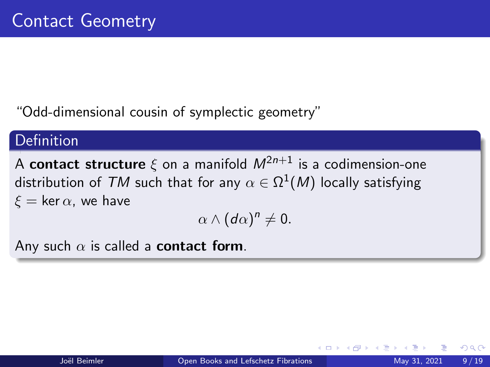"Odd-dimensional cousin of symplectic geometry"

## Definition

A contact structure  $\xi$  on a manifold  $M^{2n+1}$  is a codimension-one distribution of  ${\mathcal T} M$  such that for any  $\alpha \in \Omega^1(M)$  locally satisfying  $\xi = \ker \alpha$ , we have

$$
\alpha\wedge(d\alpha)^n\neq 0.
$$

Any such  $\alpha$  is called a **contact form**.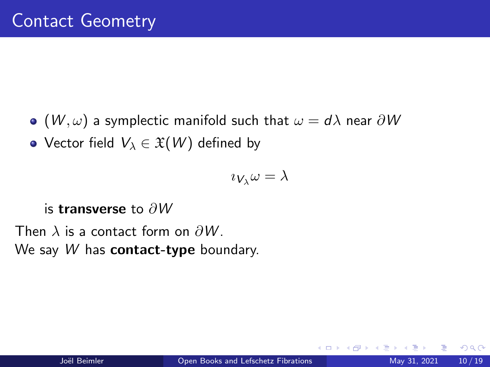$\bullet$  (W,  $\omega$ ) a symplectic manifold such that  $\omega = d\lambda$  near  $\partial W$ 

• Vector field  $V_{\lambda} \in \mathfrak{X}(W)$  defined by

$$
\imath_{V_{\lambda}}\omega=\lambda
$$

#### is transverse to ∂W

Then  $\lambda$  is a contact form on  $\partial W$ . We say  $W$  has contact-type boundary.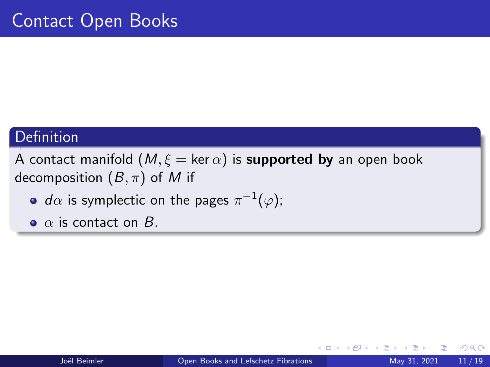## **Definition**

A contact manifold  $(M, \xi = \ker \alpha)$  is **supported by** an open book decomposition  $(B, \pi)$  of M if

- $d\alpha$  is symplectic on the pages  $\pi^{-1}(\varphi);$
- $\bullet$   $\alpha$  is contact on  $B$ .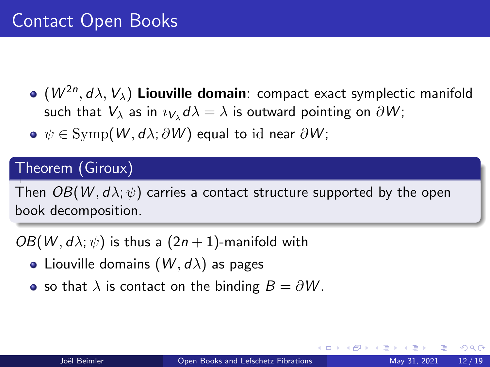- $(W^{2n},d\lambda,V_{\lambda})$  Liouville domain: compact exact symplectic manifold such that  $V_\lambda$  as in  $\imath_{V_\lambda}d\lambda=\lambda$  is outward pointing on  $\partial W;$
- $\bullet \psi \in \text{Symp}(W, d\lambda; \partial W)$  equal to id near  $\partial W$ ;

## Theorem (Giroux)

Then  $OB(W, d\lambda; \psi)$  carries a contact structure supported by the open book decomposition.

 $OB(W, d\lambda; \psi)$  is thus a  $(2n + 1)$ -manifold with

- Liouville domains  $(W, d\lambda)$  as pages
- so that  $\lambda$  is contact on the binding  $B = \partial W$ .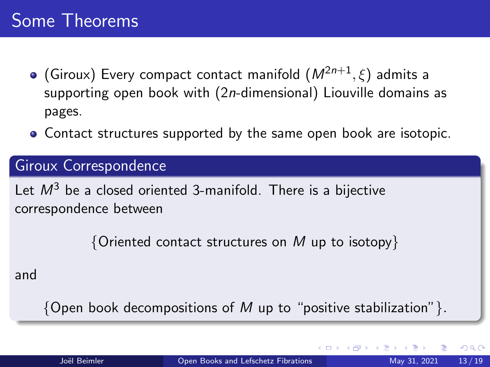- (Giroux) Every compact contact manifold  $(M^{2n+1}, \xi)$  admits a supporting open book with (2n-dimensional) Liouville domains as pages.
- Contact structures supported by the same open book are isotopic.

### Giroux Correspondence

Let  $M^3$  be a closed oriented 3-manifold. There is a bijective correspondence between

 ${^\{\text{Oriented}}\,$  contact structures on M up to isotopy  $}$ 

and

{Open book decompositions of M up to "positive stabilization" }.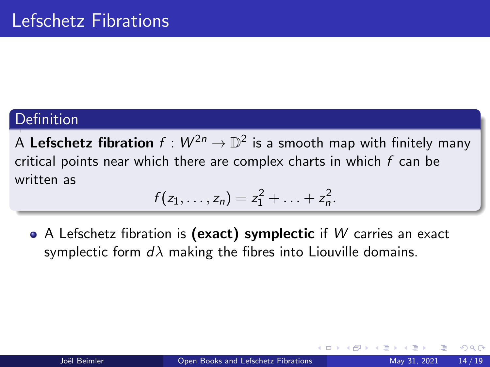## Definition

A Lefschetz fibration  $f: W^{2n} \to \mathbb{D}^2$  is a smooth map with finitely many critical points near which there are complex charts in which  $f$  can be written as

$$
f(z_1,\ldots,z_n)=z_1^2+\ldots+z_n^2.
$$

 $\bullet$  A Lefschetz fibration is (exact) symplectic if W carries an exact symplectic form  $d\lambda$  making the fibres into Liouville domains.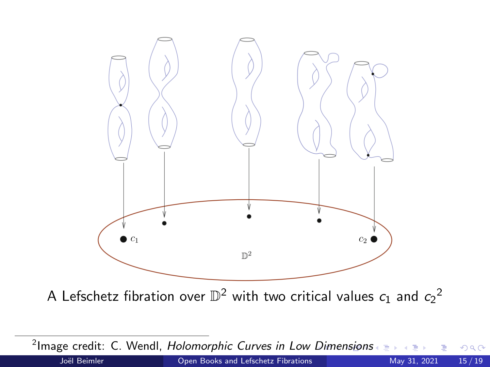

<sup>2</sup>Image credit: C. Wendl, *Holomorphic Curves in Low Dimensions*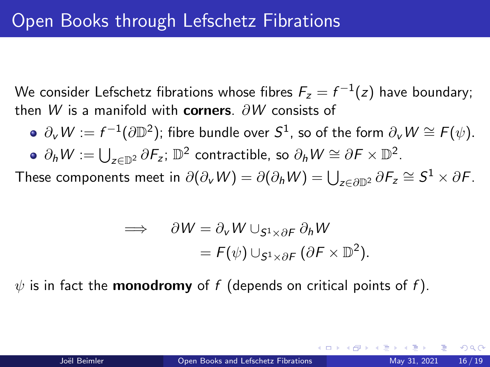We consider Lefschetz fibrations whose fibres  $\mathit{F_z} = f^{-1}(z)$  have boundary; then W is a manifold with corners.  $\partial W$  consists of

 $\partial_{\sf v}W:=f^{-1}(\partial\mathbb{D}^2)$ ; fibre bundle over  ${\sf S}^1$ , so of the form  $\partial_{\sf v}W\cong{\sf F}(\psi).$  $\partial_h W := \bigcup_{z \in \mathbb{D}^2} \partial F_z$ ;  $\mathbb{D}^2$  contractible, so  $\partial_h W \cong \partial F \times \mathbb{D}^2$ .

These components meet in  $\partial(\partial_\nu W) = \partial(\partial_h W) = \bigcup_{z \in \partial \mathbb{D}^2} \partial \mathcal{F}_z \cong \mathcal{S}^1 \times \partial \mathcal{F}.$ 

$$
\implies \quad \partial W = \partial_V W \cup_{S^1 \times \partial F} \partial_h W
$$
  
=  $F(\psi) \cup_{S^1 \times \partial F} (\partial F \times \mathbb{D}^2).$ 

 $\psi$  is in fact the **monodromy** of f (depends on critical points of f).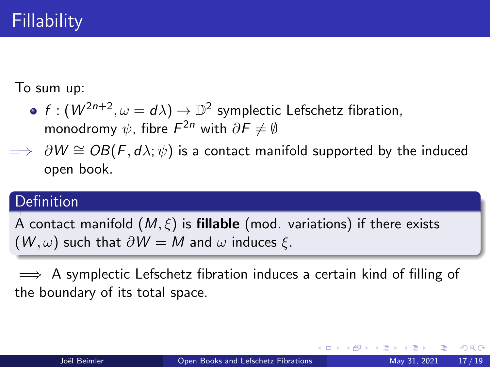To sum up:

- $f: (W^{2n+2}, \omega = d\lambda) \rightarrow \mathbb{D}^2$  symplectic Lefschetz fibration, monodromy  $\psi$ , fibre  $\mathit{F}^{2n}$  with  $\partial \mathit{F} \neq \emptyset$
- $\implies$  ∂W  $\cong$  OB(F, d $\lambda$ ;  $\psi$ ) is a contact manifold supported by the induced open book.

## Definition

A contact manifold  $(M,\xi)$  is **fillable** (mod. variations) if there exists  $(W, \omega)$  such that  $\partial W = M$  and  $\omega$  induces  $\xi$ .

 $\implies$  A symplectic Lefschetz fibration induces a certain kind of filling of the boundary of its total space.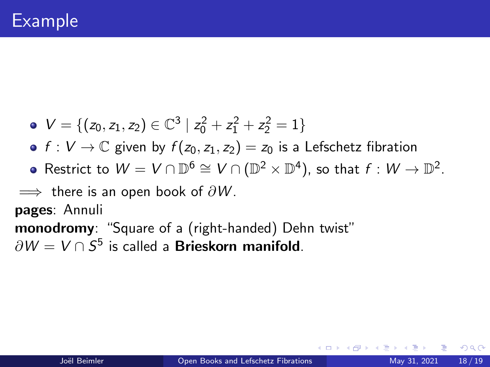- $V = \{(z_0, z_1, z_2) \in \mathbb{C}^3 \mid z_0^2 + z_1^2 + z_2^2 = 1\}$
- $f: V \to \mathbb{C}$  given by  $f(z_0, z_1, z_2) = z_0$  is a Lefschetz fibration
- Restrict to  $W = V \cap \mathbb{D}^6 \cong V \cap (\mathbb{D}^2 \times \mathbb{D}^4)$ , so that  $f : W \to \mathbb{D}^2$ .

 $\implies$  there is an open book of  $\partial W$ .

pages: Annuli

monodromy: "Square of a (right-handed) Dehn twist"  $\partial W = V \cap S^5$  is called a **Brieskorn manifold**.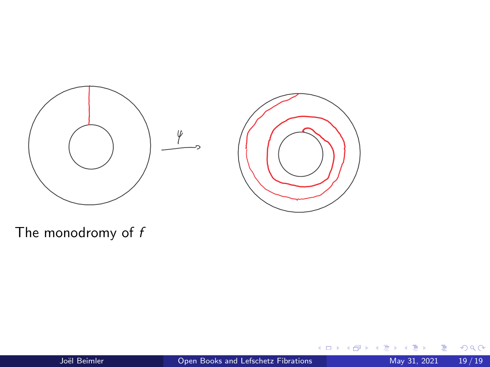

The monodromy of  $f$ 

B ×  $\mathcal{A}$  .

**K ロ ▶ K 御 ▶ K 舌**